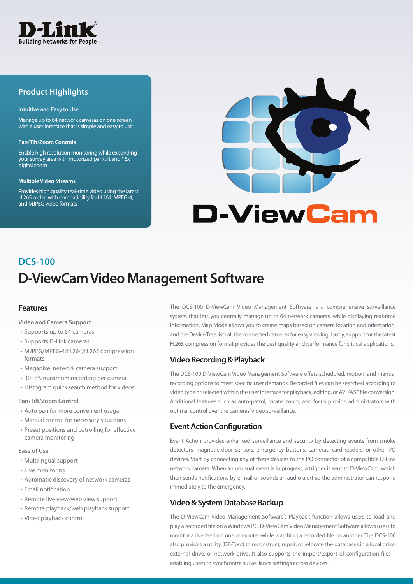

## **Product Highlights**

#### **Intuitive and Easy to Use**

Manage up to 64 network cameras on one screen with a user interface that is simple and easy to use

#### **Pan/Tilt/Zoom Controls**

Enable high resolution monitoring while expanding your survey area with motorized pan/tilt and 16x digital zoom

#### **Multiple Video Streams**

Provides high quality real-time video using the latest H.265 codec with compatibility for H.264, MPEG-4, and MJPEG video formats



# **D-ViewCam Video Management Software DCS-100**

## **Features**

#### **Video and Camera Support**

- Supports up to 64 cameras
- • Supports D-Link cameras
- MJPEG/MPEG-4/H.264/H.265 compression formats
- Megapixel network camera support
- 30 FPS maximum recording per camera
- Histogram quick search method for videos

#### **Pan/Tilt/Zoom Control**

- Auto pan for more convenient usage
- Manual control for necessary situations
- Preset positions and patrolling for effective camera monitoring

#### **Ease of Use**

- • Multilingual support
- • Live monitoring
- • Automatic discovery of network cameras
- Email notification
- Remote live view/web view support
- • Remote playback/web playback support
- • Video playback control

The DCS-100 D-ViewCam Video Management Software is a comprehensive surveillance system that lets you centrally manage up to 64 network cameras, while displaying real-time information. Map Mode allows you to create maps based on camera location and orientation, and the Device Tree lists all the connected cameras for easy viewing. Lastly, support for the latest H.265 compression format provides the best quality and performance for critical applications.

## **Video Recording & Playback**

The DCS-100 D-ViewCam Video Management Software offers scheduled, motion, and manual recording options to meet specific user demands. Recorded files can be searched according to video type or selected within the user interface for playback, editing, or AVI /ASF file conversion. Additional features such as auto-patrol, rotate, zoom, and focus provide administrators with optimal control over the cameras' video surveillance.

## **Event Action Configuration**

Event Action provides enhanced surveillance and security by detecting events from smoke detectors, magnetic door sensors, emergency buttons, cameras, card readers, or other I/O devices. Start by connecting any of these devices to the I/O connector of a compatible D-Link network camera. When an unusual event is in progress, a trigger is sent to D-ViewCam, which then sends notifications by e-mail or sounds an audio alert so the administrator can respond immediately to the emergency.

## **Video & System Database Backup**

The D-ViewCam Video Management Software's Playback function allows users to load and play a recorded file on a Windows PC. D-ViewCam Video Management Software allows users to monitor a live feed on one computer while watching a recorded file on another. The DCS-100 also provides a utility (DB-Tool) to reconstruct, repair, or relocate the databases in a local drive, external drive, or network drive. It also supports the import/export of configuration files enabling users to synchronize surveillance settings across devices.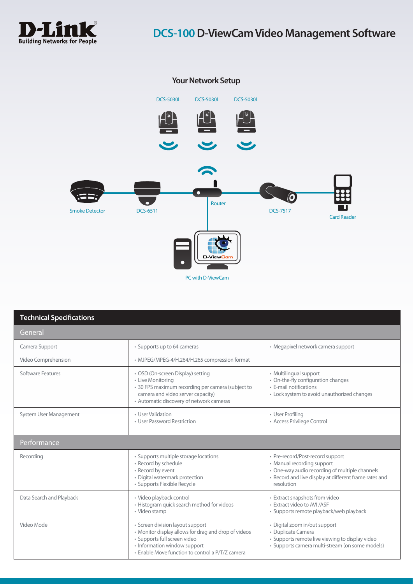



| <b>Technical Specifications</b> |                                                                                                                                                                                                              |                                                                                                                                                                                          |  |
|---------------------------------|--------------------------------------------------------------------------------------------------------------------------------------------------------------------------------------------------------------|------------------------------------------------------------------------------------------------------------------------------------------------------------------------------------------|--|
| General                         |                                                                                                                                                                                                              |                                                                                                                                                                                          |  |
| Camera Support                  | • Supports up to 64 cameras                                                                                                                                                                                  | • Megapixel network camera support                                                                                                                                                       |  |
| Video Comprehension             | • MJPEG/MPEG-4/H.264/H.265 compression format                                                                                                                                                                |                                                                                                                                                                                          |  |
| Software Features               | • OSD (On-screen Display) setting<br>• Live Monitoring<br>• 30 FPS maximum recording per camera (subject to<br>camera and video server capacity)<br>• Automatic discovery of network cameras                 | • Multilingual support<br>• On-the-fly configuration changes<br>• E-mail notifications<br>• Lock system to avoid unauthorized changes                                                    |  |
| System User Management          | • User Validation<br>· User Password Restriction                                                                                                                                                             | • User Profiling<br>• Access Privilege Control                                                                                                                                           |  |
| Performance                     |                                                                                                                                                                                                              |                                                                                                                                                                                          |  |
| Recording                       | • Supports multiple storage locations<br>• Record by schedule<br>• Record by event<br>• Digital watermark protection<br>· Supports Flexible Recycle                                                          | • Pre-record/Post-record support<br>• Manual recording support<br>• One-way audio recording of multiple channels<br>• Record and live display at different frame rates and<br>resolution |  |
| Data Search and Playback        | · Video playback control<br>• Histogram quick search method for videos<br>• Video stamp                                                                                                                      | • Extract snapshots from video<br>• Extract video to AVI / ASF<br>· Supports remote playback/web playback                                                                                |  |
| Video Mode                      | • Screen division layout support<br>• Monitor display allows for drag and drop of videos<br>· Supports full screen video<br>• Information window support<br>• Enable Move function to control a P/T/Z camera | • Digital zoom in/out support<br>• Duplicate Camera<br>• Supports remote live viewing to display video<br>· Supports camera multi-stream (on some models)                                |  |